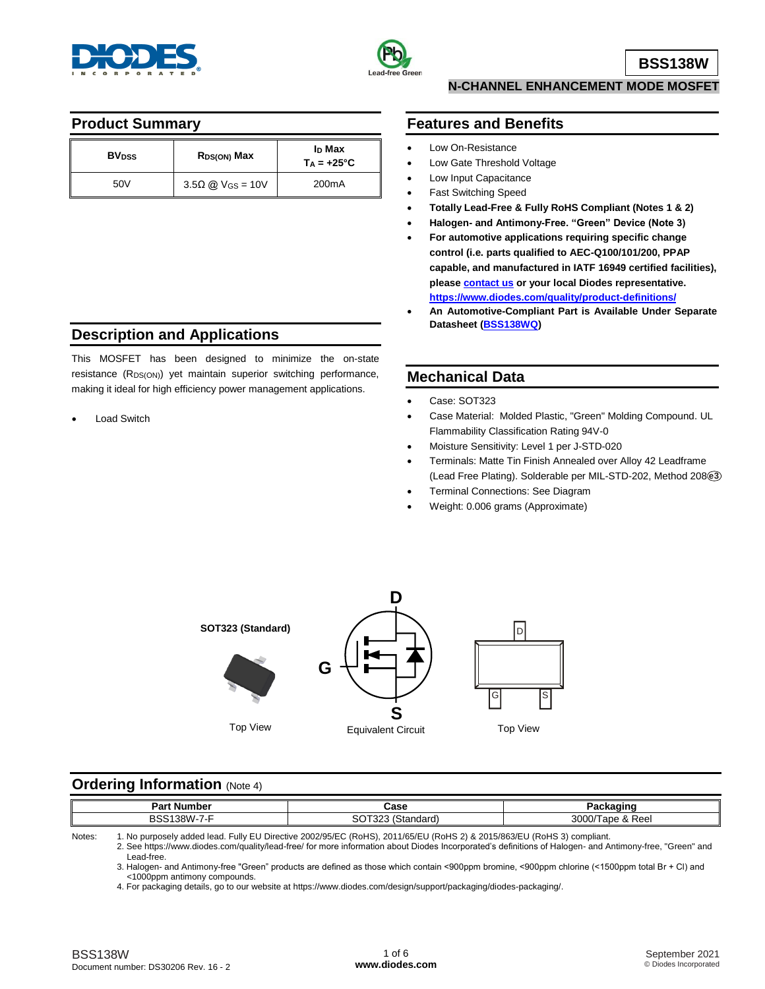



## **Product Summary**

| <b>BV</b> <sub>pss</sub> | R <sub>DS(ON)</sub> Max             | I <sub>D</sub> Max<br>$Ta = +25^{\circ}C$ |
|--------------------------|-------------------------------------|-------------------------------------------|
| 50V                      | $3.5\Omega$ @ V <sub>GS</sub> = 10V | 200 <sub>m</sub> A                        |

# **Description and Applications**

This MOSFET has been designed to minimize the on-state resistance (RDS(ON)) yet maintain superior switching performance, making it ideal for high efficiency power management applications.

Load Switch

# **Features and Benefits**

- Low On-Resistance
- Low Gate Threshold Voltage
- Low Input Capacitance
- Fast Switching Speed
- **Totally Lead-Free & Fully RoHS Compliant (Notes 1 & 2)**
- **Halogen- and Antimony-Free. "Green" Device (Note 3)**
- **For automotive applications requiring specific change control (i.e. parts qualified to AEC-Q100/101/200, PPAP capable, and manufactured in IATF 16949 certified facilities), please [contact us](https://www.diodes.com/about/contact-us/) or your local Diodes representative. <https://www.diodes.com/quality/product-definitions/>**

**N-CHANNEL ENHANCEMENT MODE MOSFET**

 **An Automotive-Compliant Part is Available Under Separate Datasheet [\(BSS138WQ\)](https://www.diodes.com/assets/Datasheets/BSS138WQ.pdf)**

# **Mechanical Data**

- Case: SOT323
- Case Material: Molded Plastic, "Green" Molding Compound. UL Flammability Classification Rating 94V-0
- Moisture Sensitivity: Level 1 per J-STD-020
- Terminals: Matte Tin Finish Annealed over Alloy 42 Leadframe (Lead Free Plating). Solderable per MIL-STD-202, Method 208 **e3**
- Terminal Connections: See Diagram
- Weight: 0.006 grams (Approximate)



## **Ordering Information (Note 4)**

| .<br>---<br>a a<br>w   | "<br>ספטי                      |                                            |
|------------------------|--------------------------------|--------------------------------------------|
| $-$<br>38W.<br>- 1 - 1 | $\sim$<br>נטונ <i>א</i> ג<br>◡ | 3000<br>$\sim$<br>$\overline{\phantom{a}}$ |
|                        |                                |                                            |

Notes: 1. No purposely added lead. Fully EU Directive 2002/95/EC (RoHS), 2011/65/EU (RoHS 2) & 2015/863/EU (RoHS 3) compliant.

 2. See https://www.diodes.com/quality/lead-free/ for more information about Diodes Incorporated's definitions of Halogen- and Antimony-free, "Green" and Lead-free.

3. Halogen- and Antimony-free "Green" products are defined as those which contain <900ppm bromine, <900ppm chlorine (<1500ppm total Br + Cl) and <1000ppm antimony compounds.

4. For packaging details, go to our website at [https://www.diodes.com/design/support/packaging/diodes-packaging/.](https://www.diodes.com/design/support/packaging/diodes-packaging/)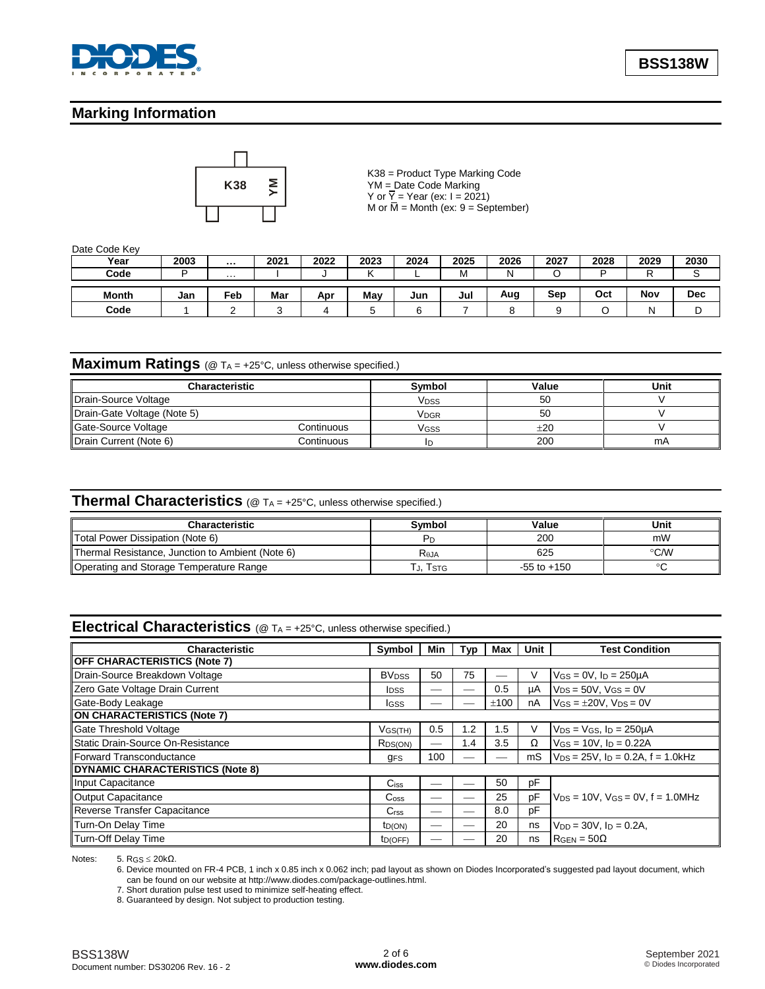

# **Marking Information**



K38 = Product Type Marking Code YM = Date Code Marking Y or  $\overline{Y}$  = Year (ex: I = 2021) M or  $\overline{M}$  = Month (ex: 9 = September)

Date Code Key

| $38.0$ $39.0$ |      |                      |      |      |      |      |      |      |      |      |      |            |
|---------------|------|----------------------|------|------|------|------|------|------|------|------|------|------------|
| Year          | 2003 | $\cdots$             | 2021 | 2022 | 2023 | 2024 | 2025 | 2026 | 2027 | 2028 | 2029 | 2030       |
| Code          | D    | $\sim$ $\sim$ $\sim$ |      |      |      |      | м    | N    |      | D    | D    | ັ          |
|               |      |                      |      |      |      |      |      |      |      |      |      |            |
| <b>Month</b>  | Jan  | Feb                  | Mar  | Apr  | May  | Jun  | Jul  | Aug  | Sep  | Oct  | Nov  | <b>Dec</b> |
| Code          |      | -                    | ີ    |      | w    |      |      |      |      |      |      | ◡          |

### **Maximum Ratings** (@ TA = +25°C, unless otherwise specified.)

| Characteristic              |            | Svmbol                 | Value    | Unit |
|-----------------------------|------------|------------------------|----------|------|
| Drain-Source Voltage        |            | <b>V<sub>DSS</sub></b> | 50       |      |
| Drain-Gate Voltage (Note 5) |            | <b>VDGR</b>            | 50       |      |
| Gate-Source Voltage         | Continuous | Vgss                   | $\pm 20$ |      |
| Drain Current (Note 6)      | Continuous | IC                     | 200      | mA   |

### **Thermal Characteristics** (@ TA = +25°C, unless otherwise specified.)

| Characteristic                                   | Svmbol      | Value           | Unit |
|--------------------------------------------------|-------------|-----------------|------|
| Total Power Dissipation (Note 6)                 | ۲۳          | 200             | mW   |
| Thermal Resistance, Junction to Ambient (Note 6) | <b>Reja</b> | 625             | °C⁄W |
| Operating and Storage Temperature Range          | . J. Tstg   | $-55$ to $+150$ |      |

## **Electrical Characteristics** (@ T<sub>A</sub> = +25°C, unless otherwise specified.)

| Characteristic                          | <b>Symbol</b>           | Min                      | Typ | Max  | Unit | <b>Test Condition</b>                               |  |
|-----------------------------------------|-------------------------|--------------------------|-----|------|------|-----------------------------------------------------|--|
| <b>OFF CHARACTERISTICS (Note 7)</b>     |                         |                          |     |      |      |                                                     |  |
| Drain-Source Breakdown Voltage          | <b>BV<sub>DSS</sub></b> | 50                       | 75  |      | ν    | $V$ GS = 0V, $I_D$ = 250µA                          |  |
| Zero Gate Voltage Drain Current         | <b>I</b> DSS            |                          |     | 0.5  | μA   | $V_{DS} = 50V$ , $V_{GS} = 0V$                      |  |
| Gate-Body Leakage                       | <b>I</b> GSS            |                          |     | ±100 | nA   | $V$ <sub>GS</sub> = $\pm$ 20V, V <sub>DS</sub> = 0V |  |
| <b>ON CHARACTERISTICS (Note 7)</b>      |                         |                          |     |      |      |                                                     |  |
| Gate Threshold Voltage                  | $V$ GS(TH)              | 0.5                      | 1.2 | 1.5  | v    | $V_{DS}$ = $V_{GS}$ , $I_D$ = 250 $\mu$ A           |  |
| Static Drain-Source On-Resistance       | R <sub>DS(ON)</sub>     | $\overline{\phantom{0}}$ | 1.4 | 3.5  | Ω    | $V$ GS = 10V, $I_D$ = 0.22A                         |  |
| <b>Forward Transconductance</b>         | <b>GFS</b>              | 100                      | --  |      | mS   | $V_{DS} = 25V$ , $I_D = 0.2A$ , $f = 1.0kHz$        |  |
| <b>DYNAMIC CHARACTERISTICS (Note 8)</b> |                         |                          |     |      |      |                                                     |  |
| Input Capacitance                       | $C$ <sub>iss</sub>      |                          |     | 50   | pF   |                                                     |  |
| <b>Output Capacitance</b>               | C <sub>oss</sub>        | --                       |     | 25   | pF   | $V_{DS}$ = 10V, $V_{GS}$ = 0V, f = 1.0MHz           |  |
| Reverse Transfer Capacitance            | C <sub>rss</sub>        |                          |     | 8.0  | рF   |                                                     |  |
| Turn-On Delay Time                      | ID(ON)                  |                          |     | 20   | ns   | $V_{DD} = 30V$ , $I_D = 0.2A$ ,                     |  |
| Turn-Off Delay Time                     | $t_{D(OFF)}$            |                          |     | 20   | ns   | $RGEN = 50\Omega$                                   |  |

Notes: 5. RGS ≤ 20kΩ.

6. Device mounted on FR-4 PCB, 1 inch x 0.85 inch x 0.062 inch; pad layout as shown on Diodes Incorporated's suggested pad layout document, which can be found on our website at http://www.diodes.com/package-outlines.html.

7. Short duration pulse test used to minimize self-heating effect.

8. Guaranteed by design. Not subject to production testing.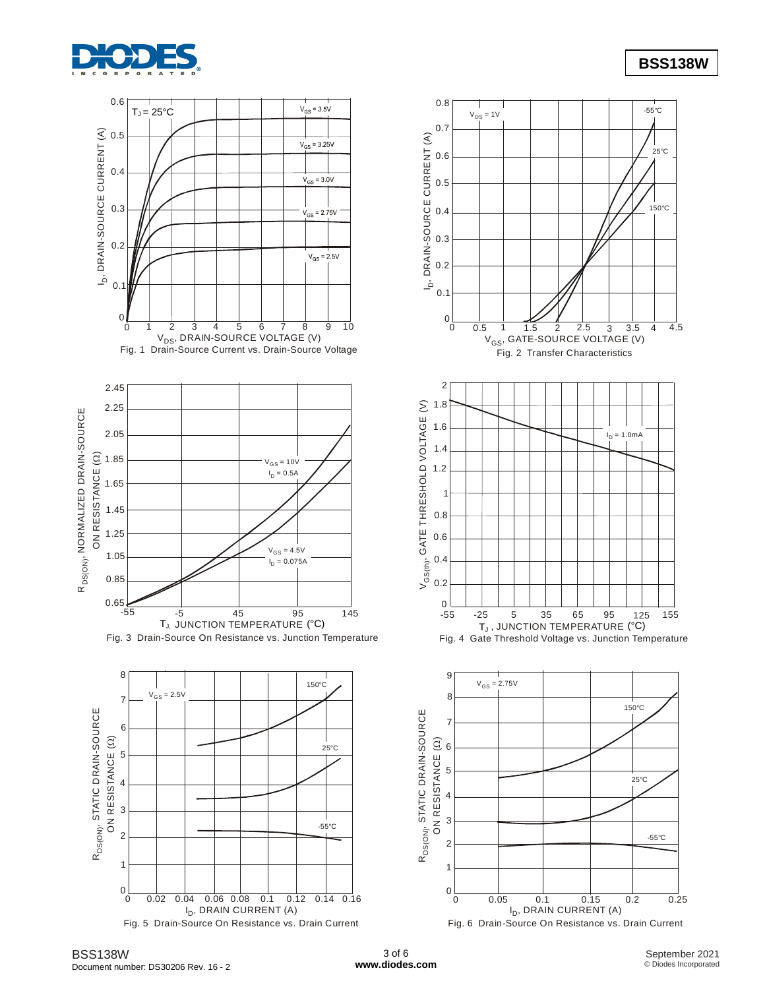





Fig. 6 Drain-Source On Resistance vs. Drain Current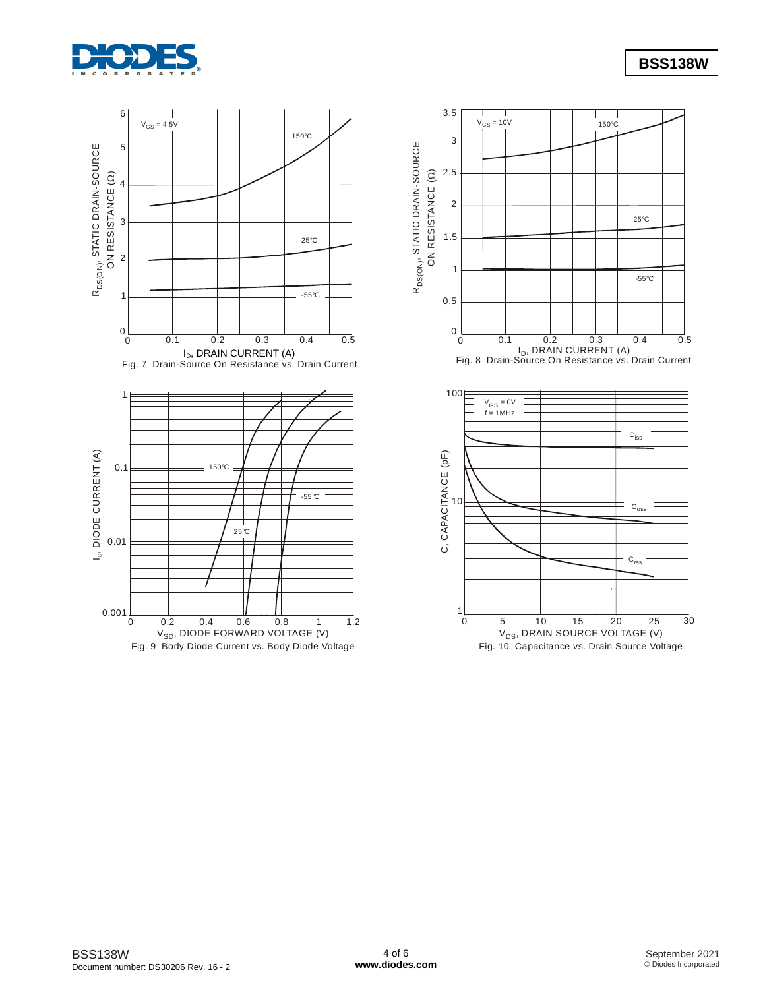





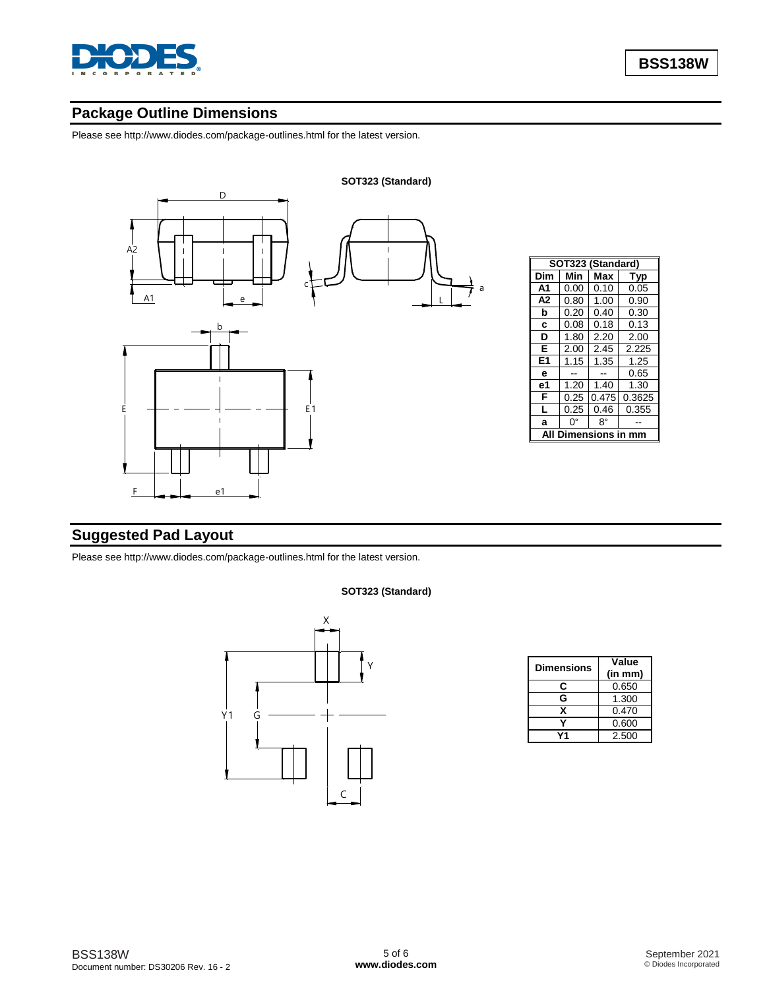

# **Package Outline Dimensions**

Please see http://www.diodes.com/package-outlines.html for the latest version.



| SOT323 (Standard) |      |       |        |  |  |  |  |
|-------------------|------|-------|--------|--|--|--|--|
| Dim               | Min  | Max   | Typ    |  |  |  |  |
| Α1                | 0.00 | 0.10  | 0.05   |  |  |  |  |
| A <sub>2</sub>    | 0.80 | 1.00  | 0.90   |  |  |  |  |
| b                 | 0.20 | 0.40  | 0.30   |  |  |  |  |
| c                 | 0.08 | 0.18  | 0.13   |  |  |  |  |
| D                 | 1.80 | 2.20  | 2.00   |  |  |  |  |
| Е                 | 2.00 | 2.45  | 2.225  |  |  |  |  |
| E1                | 1.15 | 1.35  | 1.25   |  |  |  |  |
| е                 |      |       | 0.65   |  |  |  |  |
| е1                | 1.20 | 1.40  | 1.30   |  |  |  |  |
| F                 | 0.25 | 0.475 | 0.3625 |  |  |  |  |
| L                 | 0.25 | 0.46  | 0.355  |  |  |  |  |
| a                 | O°   | 8°    |        |  |  |  |  |
| mensions in<br>A  |      |       |        |  |  |  |  |

# **Suggested Pad Layout**

Please see http://www.diodes.com/package-outlines.html for the latest version.

### **SOT323 (Standard)**



| <b>Dimensions</b> | Value<br>(in mm) |  |  |  |
|-------------------|------------------|--|--|--|
| С                 | 0.650            |  |  |  |
| G                 | 1.300            |  |  |  |
| x                 | 0.470            |  |  |  |
|                   | 0.600            |  |  |  |
|                   | 2.500            |  |  |  |